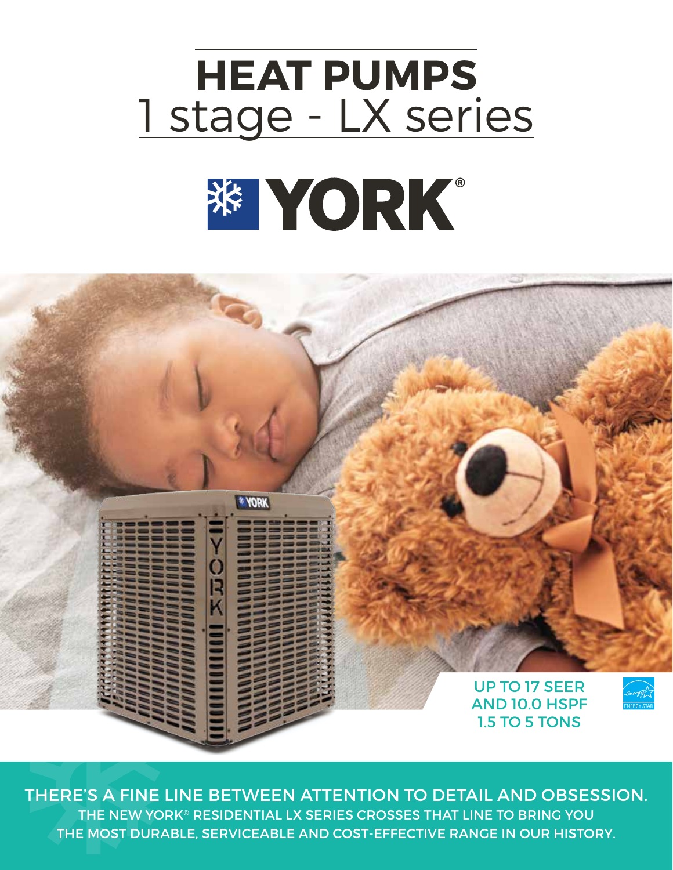# **HEAT PUMPS** 1 stage - LX series※ YORK。



THERE'S A FINE LINE BETWEEN ATTENTION TO DETAIL AND OBSESSION. THE NEW YORK® RESIDENTIAL LX SERIES CROSSES THAT LINE TO BRING YOU THE MOST DURABLE, SERVICEABLE AND COST-EFFECTIVE RANGE IN OUR HISTORY.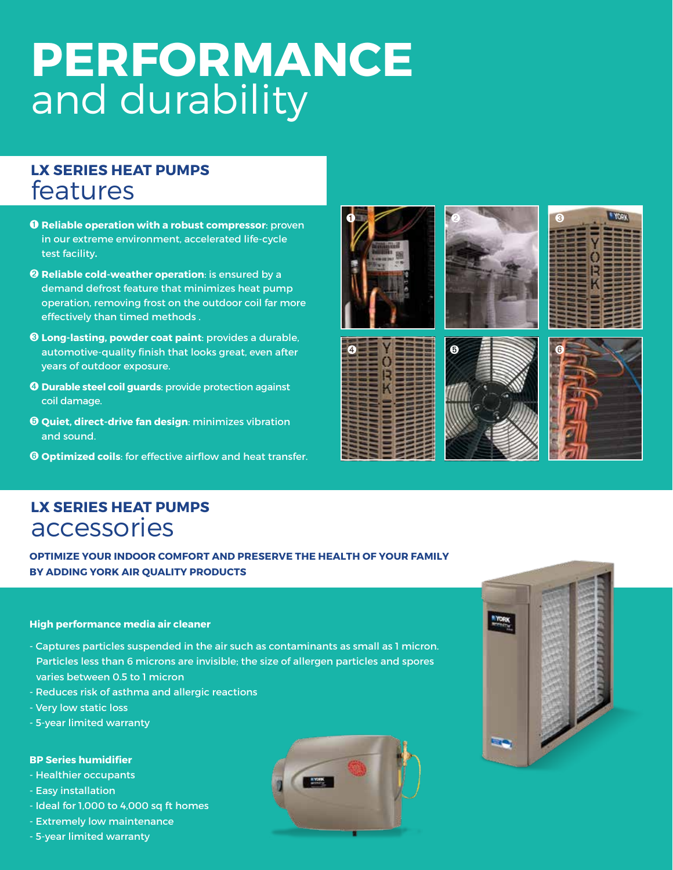# **PERFORMANCE** and durability

## **LX SERIES HEAT PUMPS** features

- ➊ **Reliable operation with a robust compressor**: proven in our extreme environment, accelerated life-cycle test facility**.**
- ➋ **Reliable cold-weather operation**: is ensured by a demand defrost feature that minimizes heat pump operation, removing frost on the outdoor coil far more effectively than timed methods .
- ➌ **Long-lasting, powder coat paint**: provides a durable, automotive-quality finish that looks great, even after years of outdoor exposure.
- ➍ **Durable steel coil guards**: provide protection against coil damage.
- ➎ **Quiet, direct-drive fan design**: minimizes vibration and sound.
- ➏ **Optimized coils**: for effective airflow and heat transfer.













## **LX SERIES HEAT PUMPS** accessories

**OPTIMIZE YOUR INDOOR COMFORT AND PRESERVE THE HEALTH OF YOUR FAMILY BY ADDING YORK AIR QUALITY PRODUCTS**

### **High performance media air cleaner**

- Captures particles suspended in the air such as contaminants as small as 1 micron. Particles less than 6 microns are invisible; the size of allergen particles and spores varies between 0.5 to 1 micron
- Reduces risk of asthma and allergic reactions
- Very low static loss
- 5-year limited warranty

#### **BP Series humidifier**

- Healthier occupants
- Easy installation
- Ideal for 1,000 to 4,000 sq ft homes
- Extremely low maintenance
- 5-year limited warranty



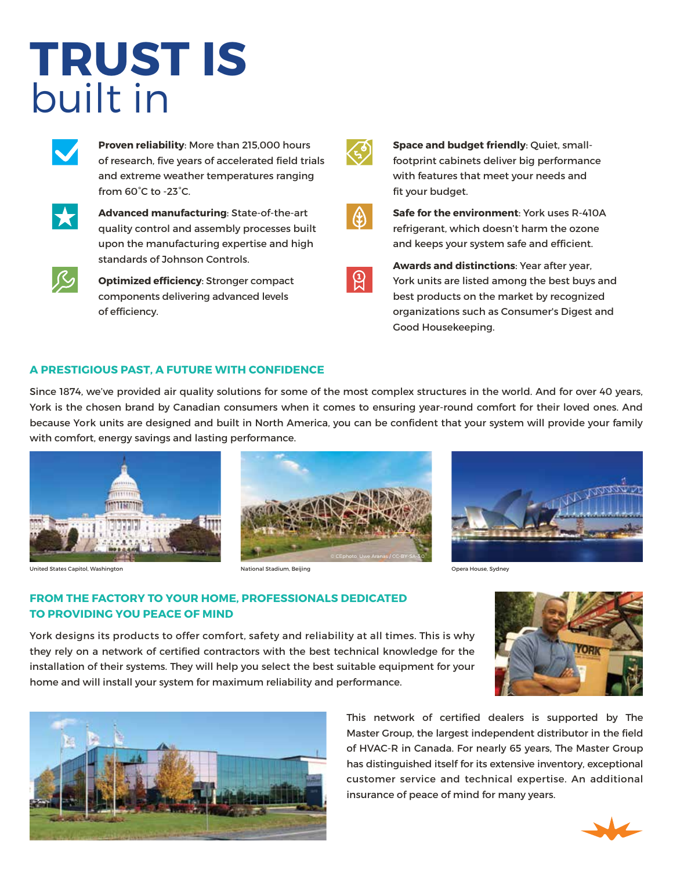# **TRUST IS** built in



**Proven reliability**: More than 215,000 hours of research, five years of accelerated field trials and extreme weather temperatures ranging from 60°C to -23°C.



**Advanced manufacturing**: State-of-the-art quality control and assembly processes built upon the manufacturing expertise and high standards of Johnson Controls.



**Optimized efficiency**: Stronger compact components delivering advanced levels of efficiency.

|  | <b>TELEVISION</b> | ۹ |  |
|--|-------------------|---|--|
|  |                   |   |  |

**Space and budget friendly**: Quiet, smallfootprint cabinets deliver big performance with features that meet your needs and fit your budget.



**Safe for the environment**: York uses R-410A refrigerant, which doesn't harm the ozone and keeps your system safe and efficient.

 $\mathfrak{B}$ 

**Awards and distinctions**: Year after year, York units are listed among the best buys and best products on the market by recognized organizations such as Consumer's Digest and Good Housekeeping.

### **A PRESTIGIOUS PAST, A FUTURE WITH CONFIDENCE**

Since 1874, we've provided air quality solutions for some of the most complex structures in the world. And for over 40 years, York is the chosen brand by Canadian consumers when it comes to ensuring year-round comfort for their loved ones. And because York units are designed and built in North America, you can be confident that your system will provide your family with comfort, energy savings and lasting performance.









### **FROM THE FACTORY TO YOUR HOME, PROFESSIONALS DEDICATED TO PROVIDING YOU PEACE OF MIND**

York designs its products to offer comfort, safety and reliability at all times. This is why they rely on a network of certified contractors with the best technical knowledge for the installation of their systems. They will help you select the best suitable equipment for your home and will install your system for maximum reliability and performance.





This network of certified dealers is supported by The Master Group, the largest independent distributor in the field of HVAC-R in Canada. For nearly 65 years, The Master Group has distinguished itself for its extensive inventory, exceptional customer service and technical expertise. An additional insurance of peace of mind for many years.